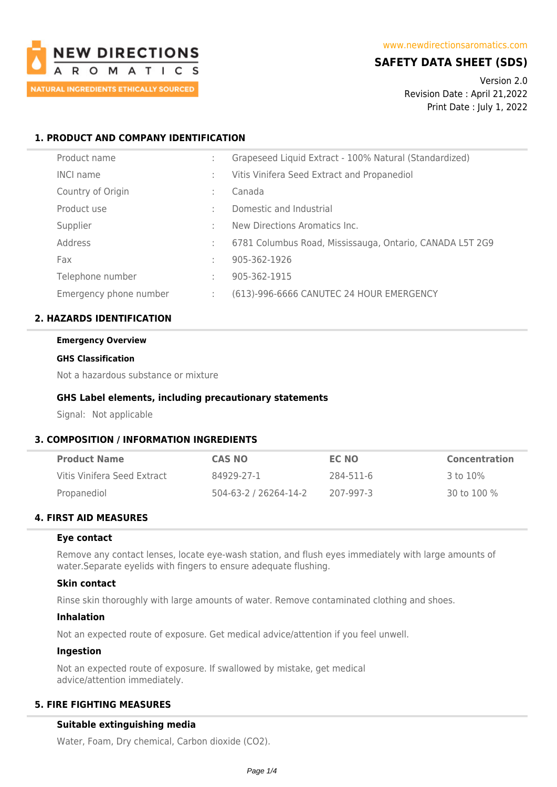

# **SAFETY DATA SHEET (SDS)**

Version 2.0 Revision Date : April 21,2022 Print Date : July 1, 2022

# **1. PRODUCT AND COMPANY IDENTIFICATION**

| Product name           |   | Grapeseed Liquid Extract - 100% Natural (Standardized)   |
|------------------------|---|----------------------------------------------------------|
| <b>INCI name</b>       |   | Vitis Vinifera Seed Extract and Propanediol              |
| Country of Origin      |   | Canada                                                   |
| Product use            |   | Domestic and Industrial                                  |
| Supplier               |   | New Directions Aromatics Inc.                            |
| Address                |   | 6781 Columbus Road, Mississauga, Ontario, CANADA L5T 2G9 |
| Fax                    | ٠ | 905-362-1926                                             |
| Telephone number       | ٠ | 905-362-1915                                             |
| Emergency phone number |   | (613)-996-6666 CANUTEC 24 HOUR EMERGENCY                 |

## **2. HAZARDS IDENTIFICATION**

#### **Emergency Overview**

#### **GHS Classification**

Not a hazardous substance or mixture

### **GHS Label elements, including precautionary statements**

Signal: Not applicable

## **3. COMPOSITION / INFORMATION INGREDIENTS**

| <b>Product Name</b>         | <b>CAS NO</b>         | EC NO     | Concentration |
|-----------------------------|-----------------------|-----------|---------------|
| Vitis Vinifera Seed Extract | 84929-27-1            | 284-511-6 | 3 to 10%      |
| Propanediol                 | 504-63-2 / 26264-14-2 | 207-997-3 | 30 to 100 %   |

# **4. FIRST AID MEASURES**

#### **Eye contact**

Remove any contact lenses, locate eye-wash station, and flush eyes immediately with large amounts of water.Separate eyelids with fingers to ensure adequate flushing.

#### **Skin contact**

Rinse skin thoroughly with large amounts of water. Remove contaminated clothing and shoes.

#### **Inhalation**

Not an expected route of exposure. Get medical advice/attention if you feel unwell.

## **Ingestion**

Not an expected route of exposure. If swallowed by mistake, get medical advice/attention immediately.

# **5. FIRE FIGHTING MEASURES**

#### **Suitable extinguishing media**

Water, Foam, Dry chemical, Carbon dioxide (CO2).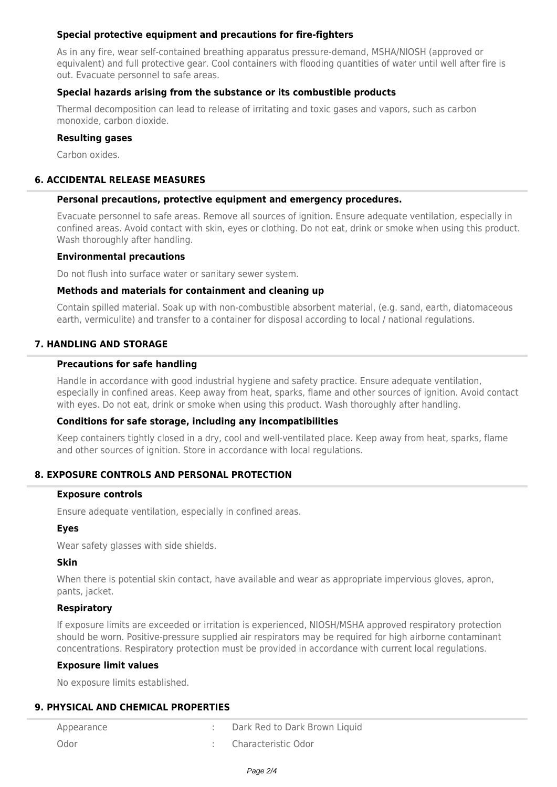## **Special protective equipment and precautions for fire-fighters**

As in any fire, wear self-contained breathing apparatus pressure-demand, MSHA/NIOSH (approved or equivalent) and full protective gear. Cool containers with flooding quantities of water until well after fire is out. Evacuate personnel to safe areas.

## **Special hazards arising from the substance or its combustible products**

Thermal decomposition can lead to release of irritating and toxic gases and vapors, such as carbon monoxide, carbon dioxide.

## **Resulting gases**

Carbon oxides.

# **6. ACCIDENTAL RELEASE MEASURES**

### **Personal precautions, protective equipment and emergency procedures.**

Evacuate personnel to safe areas. Remove all sources of ignition. Ensure adequate ventilation, especially in confined areas. Avoid contact with skin, eyes or clothing. Do not eat, drink or smoke when using this product. Wash thoroughly after handling.

#### **Environmental precautions**

Do not flush into surface water or sanitary sewer system.

#### **Methods and materials for containment and cleaning up**

Contain spilled material. Soak up with non-combustible absorbent material, (e.g. sand, earth, diatomaceous earth, vermiculite) and transfer to a container for disposal according to local / national regulations.

## **7. HANDLING AND STORAGE**

### **Precautions for safe handling**

Handle in accordance with good industrial hygiene and safety practice. Ensure adequate ventilation, especially in confined areas. Keep away from heat, sparks, flame and other sources of ignition. Avoid contact with eyes. Do not eat, drink or smoke when using this product. Wash thoroughly after handling.

## **Conditions for safe storage, including any incompatibilities**

Keep containers tightly closed in a dry, cool and well-ventilated place. Keep away from heat, sparks, flame and other sources of ignition. Store in accordance with local regulations.

## **8. EXPOSURE CONTROLS AND PERSONAL PROTECTION**

#### **Exposure controls**

Ensure adequate ventilation, especially in confined areas.

## **Eyes**

Wear safety glasses with side shields.

## **Skin**

When there is potential skin contact, have available and wear as appropriate impervious gloves, apron, pants, jacket.

## **Respiratory**

If exposure limits are exceeded or irritation is experienced, NIOSH/MSHA approved respiratory protection should be worn. Positive-pressure supplied air respirators may be required for high airborne contaminant concentrations. Respiratory protection must be provided in accordance with current local regulations.

#### **Exposure limit values**

No exposure limits established.

## **9. PHYSICAL AND CHEMICAL PROPERTIES**

| Appearance | Dark Red to Dark Brown Liquid |
|------------|-------------------------------|
| Odor       | : Characteristic Odor         |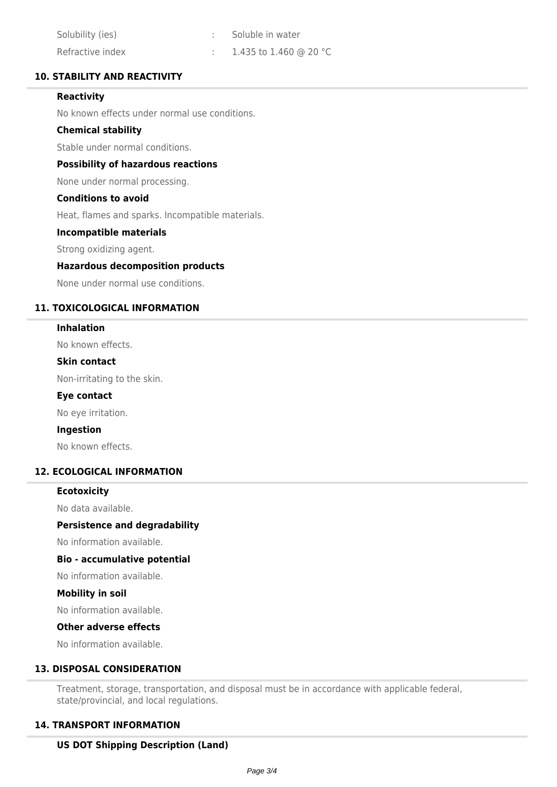| Solubility (ies) | Soluble in water       |
|------------------|------------------------|
| Refractive index | 1.435 to 1.460 @ 20 °C |

## **10. STABILITY AND REACTIVITY**

## **Reactivity**

No known effects under normal use conditions.

## **Chemical stability**

Stable under normal conditions.

## **Possibility of hazardous reactions**

None under normal processing.

#### **Conditions to avoid**

Heat, flames and sparks. Incompatible materials.

## **Incompatible materials**

Strong oxidizing agent.

#### **Hazardous decomposition products**

None under normal use conditions.

## **11. TOXICOLOGICAL INFORMATION**

#### **Inhalation**

No known effects.

#### **Skin contact**

Non-irritating to the skin.

### **Eye contact**

No eye irritation.

#### **Ingestion**

No known effects.

## **12. ECOLOGICAL INFORMATION**

## **Ecotoxicity**

No data available.

#### **Persistence and degradability**

No information available.

### **Bio - accumulative potential**

No information available.

#### **Mobility in soil**

No information available.

#### **Other adverse effects**

No information available.

## **13. DISPOSAL CONSIDERATION**

Treatment, storage, transportation, and disposal must be in accordance with applicable federal, state/provincial, and local regulations.

## **14. TRANSPORT INFORMATION**

## **US DOT Shipping Description (Land)**